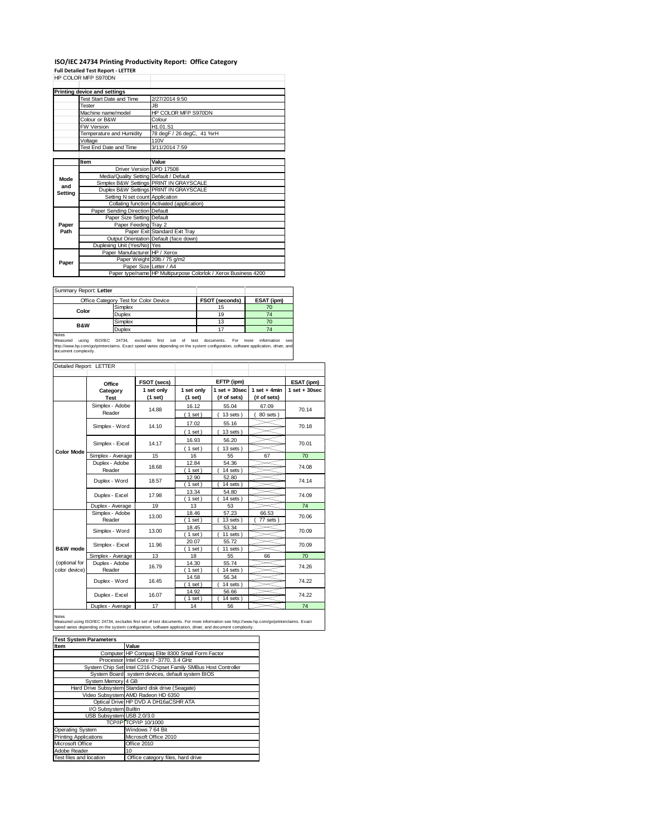### **ISO/IEC 24734 Printing Productivity Report: Office Category Full Detailed Test Report ‐ LETTER**

HP COLOR MFP S970DN

|         | HP COLOR MFP S970DN                     |                                                                |  |  |  |  |
|---------|-----------------------------------------|----------------------------------------------------------------|--|--|--|--|
|         | Printing device and settings            |                                                                |  |  |  |  |
|         | <b>Test Start Date and Time</b>         | 2/27/2014 9:50                                                 |  |  |  |  |
|         | Tester                                  | <b>JB</b>                                                      |  |  |  |  |
|         | Machine name/model                      | HP COLOR MFP S970DN                                            |  |  |  |  |
|         | Colour or B&W                           | Colour                                                         |  |  |  |  |
|         | <b>FW Version</b>                       | H1.01.S1                                                       |  |  |  |  |
|         | Temperature and Humidity                | 78 degF / 26 degC, 41 %rH                                      |  |  |  |  |
|         | Voltage                                 | 110V                                                           |  |  |  |  |
|         | Test End Date and Time                  | 3/11/2014 7:59                                                 |  |  |  |  |
|         |                                         |                                                                |  |  |  |  |
|         | Item                                    | Value                                                          |  |  |  |  |
|         | Driver Version UPD 17508                |                                                                |  |  |  |  |
| Mode    | Media/Quality Setting Default / Default |                                                                |  |  |  |  |
| and     |                                         | Simplex B&W Settings PRINT IN GRAYSCALE                        |  |  |  |  |
| Setting |                                         | Duplex B&W Settings PRINT IN GRAYSCALE                         |  |  |  |  |
|         | Setting N set count Application         |                                                                |  |  |  |  |
|         |                                         | Collating function Activated (application)                     |  |  |  |  |
|         | Paper Sending Direction Default         |                                                                |  |  |  |  |
|         | Paper Size Setting Default              |                                                                |  |  |  |  |
| Paper   | Paper Feeding Tray 2                    |                                                                |  |  |  |  |
| Path    |                                         | Paper Exit Standard Exit Tray                                  |  |  |  |  |
|         |                                         | Output Orientation Default (face down)                         |  |  |  |  |
|         | Duplexing Unit (Yes/No) Yes             |                                                                |  |  |  |  |
|         | Paper Manufacturer HP / Xerox           |                                                                |  |  |  |  |
| Paper   |                                         | Paper Weight 20lb / 75 g/m2                                    |  |  |  |  |
|         | Paper Size Letter / A4                  |                                                                |  |  |  |  |
|         |                                         | Paper type/name HP Multipurpose Colorlok / Xerox Business 4200 |  |  |  |  |

Summary Report: **Letter**

| <b>JUILLIALY REDUIT LETTER</b> |                                       |                |            |
|--------------------------------|---------------------------------------|----------------|------------|
|                                | Office Category Test for Color Device | FSOT (seconds) | ESAT (ipm) |
| Color                          | Simplex                               | 15             | 70         |
|                                | Duplex                                | 19             | 74         |
| <b>B&amp;W</b>                 | Simplex                               | 13             | 70         |
|                                | Duplex                                |                | 74         |
| Notes                          |                                       |                |            |

Notes<br>Measured using ISO/IEC 24734, excludes first set of test documents. For more information see<br>http://www.hp.com/go/printerclaims.Exactspeed.varies.depending.on.the.system.configuration,software.application,driver,and<br>

| Detailed Report: LETTER        |                           |                       |                       |                                  |                               |                   |
|--------------------------------|---------------------------|-----------------------|-----------------------|----------------------------------|-------------------------------|-------------------|
|                                | Office                    | FSOT (secs)           |                       | EFTP (ipm)                       |                               | ESAT (ipm)        |
|                                | Category<br><b>Test</b>   | 1 set only<br>(1 set) | 1 set only<br>(1 set) | $1$ set $+30$ sec<br>(# of sets) | $1$ set + 4min<br>(# of sets) | $1$ set $+30$ sec |
|                                | Simplex - Adobe<br>Reader | 14.88                 | 16.12<br>$1$ set)     | 55.04<br>$13$ sets $)$           | 67.09<br>80 sets              | 70.14             |
|                                | Simplex - Word            | 14.10                 | 17.02<br>$1$ set)     | 55.16<br>$13$ sets $)$           |                               | 70.18             |
|                                | Simplex - Excel           | 14.17                 | 16.93<br>$1$ set)     | 56.20<br>13 sets)                |                               | 70.01             |
| <b>Color Mode</b>              | Simplex - Average         | 15                    | 16                    | 55                               | 67                            | 70                |
|                                | Duplex - Adobe<br>Reader  | 18.68                 | 12.84<br>$1$ set)     | 54.36<br>$14$ sets)              |                               | 74.08             |
|                                | Duplex - Word             | 18.57                 | 12.90<br>$1$ set)     | 52.80<br>$14$ sets $)$           |                               | 74.14             |
|                                | Duplex - Excel            | 17.98                 | 13.34<br>$1$ set)     | 54.80<br>$14$ sets $)$           |                               | 74.09             |
|                                | Duplex - Average          | 19                    | 13                    | 53                               |                               | 74                |
|                                | Simplex - Adobe<br>Reader | 13.00                 | 18.46<br>$1$ set)     | 57.23<br>$13$ sets $)$           | 66.53<br>77 sets              | 70.06             |
|                                | Simplex - Word            | 13.00                 | 18.45<br>$1$ set)     | 53.34<br>$11$ sets $)$           |                               | 70.09             |
| B&W mode                       | Simplex - Excel           | 11.96                 | 20.07<br>$1$ set)     | 55.72<br>$11$ sets $)$           |                               | 70.09             |
|                                | Simplex - Average         | 13                    | 18                    | 55                               | 66                            | 70                |
| (optional for<br>color device) | Duplex - Adobe<br>Reader  | 16.79                 | 14.30<br>$1$ set)     | 55.74<br>$14$ sets)              |                               | 74.26             |
|                                | Duplex - Word             | 16.45                 | 14.58<br>$1$ set)     | 56.34<br>$14$ sets $)$           |                               | 74.22             |
|                                | Duplex - Excel            | 16.07                 | 14.92<br>$1$ set)     | 56.66<br>$14$ sets)              |                               | 74.22             |
|                                | Duplex - Average          | 17                    | 14                    | 56                               |                               | 74                |

Notes<br>Measured using ISO/IEC 24734, excludes first set of test documents. For more information see http://www.hp.com/go/printerclaims. Exact<br>speed varies depending on the system configuration, software application, driver,

| <b>Test System Parameters</b> |                                                                 |  |  |  |
|-------------------------------|-----------------------------------------------------------------|--|--|--|
| Item                          | Value                                                           |  |  |  |
|                               | Computer HP Compaq Elite 8300 Small Form Factor                 |  |  |  |
|                               | Processor Intel Core i7 -3770, 3.4 GHz                          |  |  |  |
|                               | System Chip Set Intel C216 Chipset Family SMBus Host Controller |  |  |  |
|                               | System Board system devices, default system BIOS                |  |  |  |
| System Memory 4 GB            |                                                                 |  |  |  |
|                               | Hard Drive Subsystem Standard disk drive (Seagate)              |  |  |  |
|                               | Video Subsystem AMD Radeon HD 6350                              |  |  |  |
|                               | Optical Drive HP DVD A DH16aCSHR ATA                            |  |  |  |
| I/O Subsystem Builtin         |                                                                 |  |  |  |
| USB Subsystem USB 2.0/3.0     |                                                                 |  |  |  |
|                               | TCP/IP TCP/IP 10/1000                                           |  |  |  |
| Operating System              | Windows 7 64 Bit                                                |  |  |  |
| <b>Printing Applications</b>  | Microsoft Office 2010                                           |  |  |  |
| Microsoft Office              | Office 2010                                                     |  |  |  |
| Adobe Reader                  | 10                                                              |  |  |  |
| Test files and location       | Office category files, hard drive                               |  |  |  |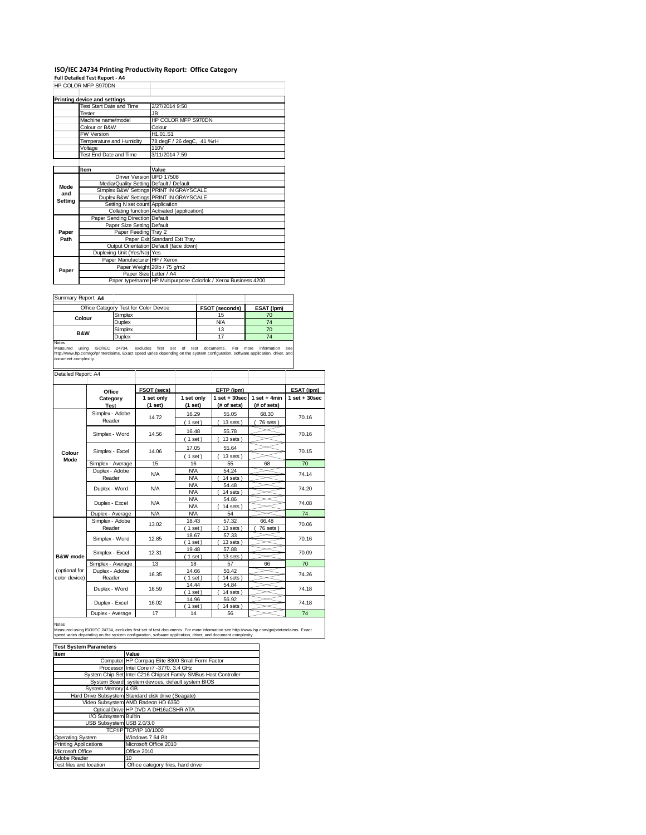# **ISO/IEC 24734 Printing Productivity Report: Office Category Full Detailed Test Report ‐ A4** HP COLOR MFP S970DN

|         | III COLON IVII I J <i>an</i> udin       |                                                                |
|---------|-----------------------------------------|----------------------------------------------------------------|
|         |                                         |                                                                |
|         | Printing device and settings            |                                                                |
|         | <b>Test Start Date and Time</b>         | 2/27/2014 9:50                                                 |
|         | <b>Tester</b>                           | JB.                                                            |
|         | Machine name/model                      | HP COLOR MFP S970DN                                            |
|         | Colour or B&W                           | Colour                                                         |
|         | <b>FW Version</b>                       | H1.01.S1                                                       |
|         | Temperature and Humidity                | 78 degF / 26 degC, 41 %rH                                      |
|         | Voltage                                 | 110V                                                           |
|         | Test End Date and Time                  | 3/11/2014 7:59                                                 |
|         |                                         |                                                                |
|         | Item                                    | Value                                                          |
|         | Driver Version UPD 17508                |                                                                |
| Mode    | Media/Quality Setting Default / Default |                                                                |
| and     |                                         | Simplex B&W Settings PRINT IN GRAYSCALE                        |
| Setting |                                         | Duplex B&W Settings PRINT IN GRAYSCALE                         |
|         | Setting N set count Application         |                                                                |
|         |                                         | Collating function Activated (application)                     |
|         | Paper Sending Direction Default         |                                                                |
|         | Paper Size Setting Default              |                                                                |
| Paper   | Paper Feeding Tray 2                    |                                                                |
| Path    |                                         | Paper Exit Standard Exit Tray                                  |
|         |                                         | Output Orientation Default (face down)                         |
|         | Duplexing Unit (Yes/No) Yes             |                                                                |
|         | Paper Manufacturer HP / Xerox           |                                                                |
| Paper   |                                         | Paper Weight 20lb / 75 g/m2                                    |
|         | Paper Size Letter / A4                  |                                                                |
|         |                                         | Paper type/name HP Multipurpose Colorlok / Xerox Business 4200 |

| Summary Report: A4 |                                       |                       |            |
|--------------------|---------------------------------------|-----------------------|------------|
|                    | Office Category Test for Color Device | <b>FSOT (seconds)</b> | ESAT (ipm) |
|                    | Simplex                               | 15                    | 70         |
| Colour             | Duplex                                | <b>N/A</b>            | 74         |
| <b>B&amp;W</b>     | Simplex                               | 13                    | 70         |
|                    | Duplex                                |                       | 74         |
| <b>Notae</b>       |                                       |                       |            |

Notes<br>Measured using ISO/IEC 24734, excludes first set of test documents. For more information see<br>http://www.hp.com/go/printerclaims. Exact\_speed\_varies\_depending.on\_the\_system\_configuration,software\_application,driver,an

| Detailed Report: A4            |                           |                       |                          |                                  |                               |                   |
|--------------------------------|---------------------------|-----------------------|--------------------------|----------------------------------|-------------------------------|-------------------|
|                                | Office                    | FSOT (secs)           |                          | EFTP (ipm)                       |                               | ESAT (ipm)        |
|                                | Category<br><b>Test</b>   | 1 set only<br>(1 set) | 1 set only<br>$(1$ set)  | $1$ set $+30$ sec<br>(# of sets) | $1$ set + 4min<br>(# of sets) | $1$ set $+30$ sec |
|                                | Simplex - Adobe<br>Reader | 14.72                 | 16.29<br>$1$ set)        | 55.05<br>13 sets)                | 68.30<br>76 sets              | 70.16             |
|                                | Simplex - Word            | 14.56                 | 16.48<br>$1$ set)        | 55.78<br>$13$ sets $)$           |                               | 70.16             |
| Colour                         | Simplex - Excel           | 14.06                 | 17.05<br>(1 set)         | 55.64<br>$13$ sets $)$           |                               | 70.15             |
| Mode                           | Simplex - Average         | 15                    | 16                       | 55                               | 68                            | 70                |
|                                | Duplex - Adobe<br>Reader  | <b>N/A</b>            | <b>N/A</b><br><b>N/A</b> | 54.24<br>$14$ sets)              |                               | 74.14             |
|                                | Duplex - Word             | N/A                   | <b>N/A</b><br><b>N/A</b> | 54.48<br>$14$ sets)              |                               | 74.20             |
|                                | Duplex - Excel            | N/A                   | <b>N/A</b><br><b>N/A</b> | 54.86<br>$14$ sets $)$           |                               | 74.08             |
|                                | Duplex - Average          | <b>N/A</b>            | <b>N/A</b>               | 54                               |                               | 74                |
|                                | Simplex - Adobe<br>Reader | 13.02                 | 18.43<br>$1$ set)        | 57.32<br>$13$ sets $)$           | 66.48<br>76 sets              | 70.06             |
|                                | Simplex - Word            | 12.85                 | 18.67<br>$1$ set)        | 57.33<br>13 sets)                |                               | 70.16             |
| B&W mode                       | Simplex - Excel           | 12.31                 | 19.48<br>$1$ set)        | 57.88<br>13 sets)                |                               | 70.09             |
|                                | Simplex - Average         | 13                    | 18                       | 57                               | 66                            | 70                |
| (optional for<br>color device) | Duplex - Adobe<br>Reader  | 16.35                 | 14.66<br>$1$ set)        | 56.42<br>14 sets)                |                               | 74.26             |
|                                | Duplex - Word             | 16.59                 | 14.44<br>$1$ set)        | 54.84<br>$14$ sets $)$           |                               | 74.18             |
|                                | Duplex - Excel            | 16.02                 | 14.96<br>$1$ set)        | 56.92<br>$14$ sets $)$           |                               | 74.18             |
|                                | Duplex - Average          | 17                    | 14                       | 56                               |                               | 74                |

#### Notes

Measured using ISO/IEC 24734, excludes first set of test documents. For more information see http://www.hp.com/go/printerclaims. Exact<br>speed varies depending on the system configuration, software application, driver, and d

| <b>Test System Parameters</b> |                                                                 |
|-------------------------------|-----------------------------------------------------------------|
| Item                          | Value                                                           |
|                               | Computer HP Compag Elite 8300 Small Form Factor                 |
|                               | Processor Intel Core i7 -3770, 3.4 GHz                          |
|                               | System Chip Set Intel C216 Chipset Family SMBus Host Controller |
|                               | System Board system devices, default system BIOS                |
| System Memory 4 GB            |                                                                 |
|                               | Hard Drive Subsystem Standard disk drive (Seagate)              |
|                               | Video Subsystem AMD Radeon HD 6350                              |
|                               | Optical Drive HP DVD A DH16aCSHR ATA                            |
| I/O Subsystem Builtin         |                                                                 |
| USB Subsystem USB 2.0/3.0     |                                                                 |
|                               | TCP/IP TCP/IP 10/1000                                           |
| Operating System              | Windows 7 64 Bit                                                |
| <b>Printing Applications</b>  | Microsoft Office 2010                                           |
| Microsoft Office              | Office 2010                                                     |
| Adobe Reader                  | 10                                                              |
| Test files and location       | Office category files, hard drive                               |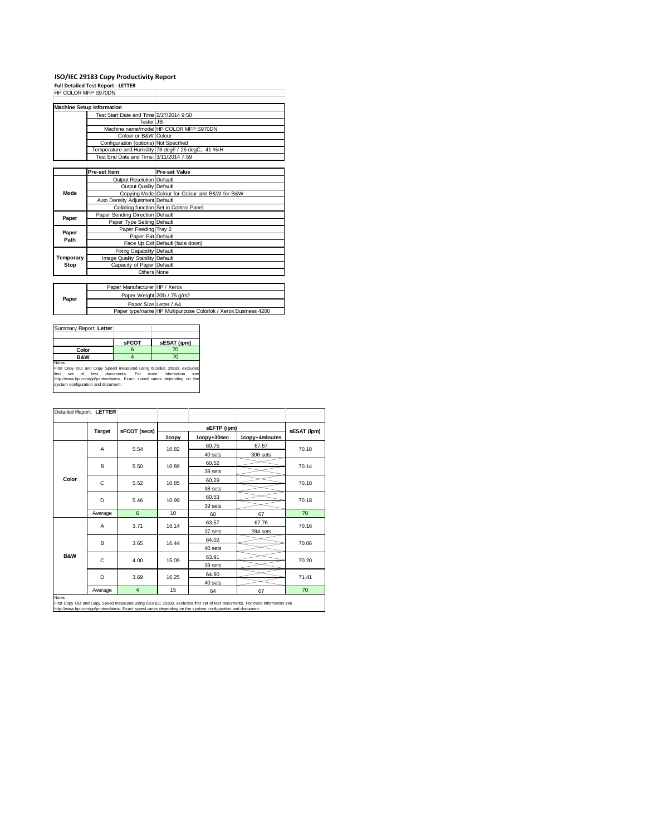## **ISO/IEC 29183 Copy Productivity Report Full Detailed Test Report ‐ LETTER** HP COLOR MFP S970DN

|           | <b>Machine Setup Information</b>        |                                                                |
|-----------|-----------------------------------------|----------------------------------------------------------------|
|           | Test Start Date and Time 2/27/2014 9:50 |                                                                |
|           | Tester JB                               |                                                                |
|           |                                         | Machine name/model HP COLOR MFP S970DN                         |
|           | Colour or B&W Colour                    |                                                                |
|           | Configuration (options) Not Specified   |                                                                |
|           |                                         | Temperature and Humidity 78 degF / 26 degC, 41 %rH             |
|           | Test End Date and Time: 3/11/2014 7:59  |                                                                |
|           |                                         |                                                                |
|           | Pre-set Item                            | <b>Pre-set Value</b>                                           |
|           | Output Resolution Default               |                                                                |
|           | Output Quality Default                  |                                                                |
| Mode      |                                         | Copying Mode Colour for Colour and B&W for B&W                 |
|           | Auto Density Adjustment Default         |                                                                |
|           |                                         | Collating function Set in Control Panel                        |
| Paper     | Paper Sending Direction Default         |                                                                |
|           | Paper Type Setting Default              |                                                                |
| Paper     | Paper Feeding Tray 2                    |                                                                |
| Path      | Paper Exit Default                      |                                                                |
|           |                                         | Face Up Exit Default (face down)                               |
|           | <b>Fixing Capability Default</b>        |                                                                |
| Temporary | Image Quality Stability Default         |                                                                |
| Stop      | Capacity of Paper Default               |                                                                |
|           | Others None                             |                                                                |
|           |                                         |                                                                |
|           | Paper Manufacturer HP / Xerox           |                                                                |
| Paper     |                                         | Paper Weight 20lb / 75 g/m2                                    |
|           | Paper Size Letter / A4                  |                                                                |
|           |                                         | Paper type/name HP Multipurpose Colorlok / Xerox Business 4200 |

| Summary Report: Letter                                                                                                                                                                                                                                                  |              |             |  |  |
|-------------------------------------------------------------------------------------------------------------------------------------------------------------------------------------------------------------------------------------------------------------------------|--------------|-------------|--|--|
|                                                                                                                                                                                                                                                                         | <b>SFCOT</b> | sESAT (ipm) |  |  |
| Color                                                                                                                                                                                                                                                                   |              | 70          |  |  |
| <b>B&amp;W</b>                                                                                                                                                                                                                                                          |              | 70          |  |  |
| <b>Notes</b><br>First Copy Out and Copy Speed measured using ISO/IEC 29183, excludes<br>set of test documents. For more<br>first<br>information<br>SAR<br>http://www.hp.com/go/printerclaims. Exact speed varies depending on the<br>system configuration and document. |              |             |  |  |

|                | Detailed Report: LETTER |                |       |             |                |             |
|----------------|-------------------------|----------------|-------|-------------|----------------|-------------|
|                |                         |                |       |             |                |             |
|                | <b>Target</b>           | sFCOT (secs)   | 1copy | 1copy+30sec | 1copy+4minutes | sESAT (ipm) |
|                | A                       | 5.54           | 10.82 | 60.75       | 67.67          | 70.18       |
|                |                         |                |       | 40 sets     | 306 sets       |             |
|                | B                       | 5.50           | 10.89 | 60.52       |                | 70.14       |
|                |                         |                |       | 39 sets     |                |             |
| Color          | C                       | 5.52           | 10.85 | 60.29       |                | 70.18       |
|                |                         |                |       | 38 sets     |                |             |
|                | D                       | 5.46           | 10.99 | 60.53       |                | 70.18       |
|                |                         |                |       | 39 sets     |                |             |
|                | Average                 | 6              | 10    | 60          | 67             | 70          |
|                | A                       | 3.71           | 16.14 | 63.57       | 67.76          | 70.16       |
|                |                         |                |       | 37 sets     | 284 sets       |             |
|                | B                       | 3.65           | 16.44 | 64.02       |                | 70.06       |
|                |                         |                |       | 40 sets     |                |             |
| <b>B&amp;W</b> | C                       | 4.00           | 15.09 | 63.91       |                | 70.20       |
|                |                         |                |       | 39 sets     |                |             |
|                | D                       | 3.69           | 16.25 | 64.90       |                | 71.41       |
|                |                         |                |       | 40 sets     |                |             |
|                | Average                 | $\overline{4}$ | 15    | 64          | 67             | 70          |